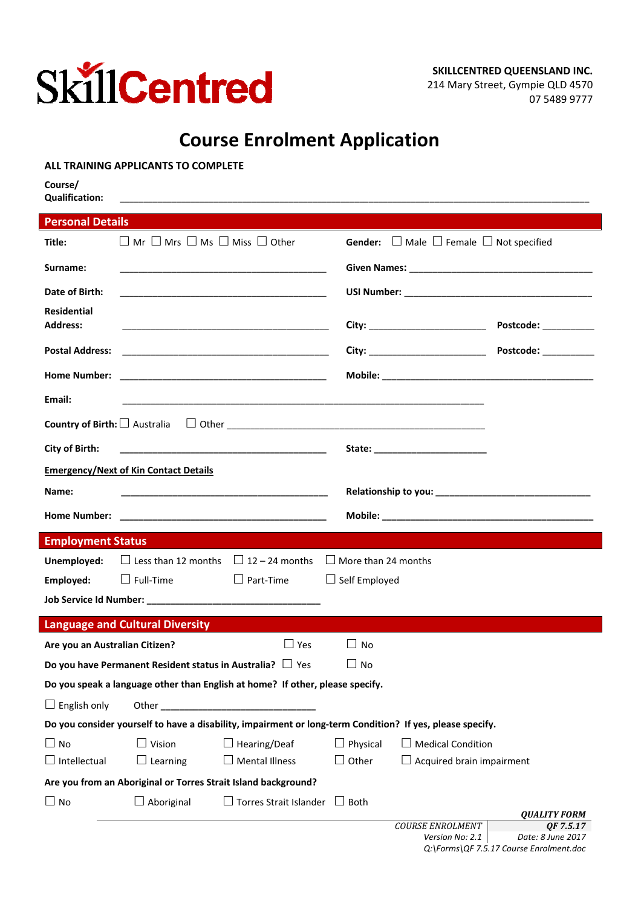

## **Course Enrolment Application**

|                                  | ALL TRAINING APPLICANTS TO COMPLETE                                                                                                                                                                                                  |                               |                      |                                                        |                                         |
|----------------------------------|--------------------------------------------------------------------------------------------------------------------------------------------------------------------------------------------------------------------------------------|-------------------------------|----------------------|--------------------------------------------------------|-----------------------------------------|
| Course/<br><b>Qualification:</b> |                                                                                                                                                                                                                                      |                               |                      |                                                        |                                         |
| <b>Personal Details</b>          |                                                                                                                                                                                                                                      |                               |                      |                                                        |                                         |
| Title:                           | $\Box$ Mr $\Box$ Mrs $\Box$ Ms $\Box$ Miss $\Box$ Other                                                                                                                                                                              |                               |                      | Gender: $\Box$ Male $\Box$ Female $\Box$ Not specified |                                         |
|                                  |                                                                                                                                                                                                                                      |                               |                      |                                                        |                                         |
| Surname:                         |                                                                                                                                                                                                                                      |                               |                      |                                                        |                                         |
| Date of Birth:                   |                                                                                                                                                                                                                                      |                               |                      |                                                        |                                         |
| <b>Residential</b>               |                                                                                                                                                                                                                                      |                               |                      |                                                        |                                         |
| <b>Address:</b>                  |                                                                                                                                                                                                                                      |                               |                      | City: ____________________________                     | Postcode: __________                    |
| <b>Postal Address:</b>           | <u> 1989 - Johann Harry Harry Harry Harry Harry Harry Harry Harry Harry Harry Harry Harry Harry Harry Harry Harry Harry Harry Harry Harry Harry Harry Harry Harry Harry Harry Harry Harry Harry Harry Harry Harry Harry Harry Ha</u> |                               |                      | City: _____________________________                    | Postcode: __________                    |
|                                  |                                                                                                                                                                                                                                      |                               |                      |                                                        |                                         |
| Email:                           |                                                                                                                                                                                                                                      |                               |                      |                                                        |                                         |
|                                  |                                                                                                                                                                                                                                      |                               |                      |                                                        |                                         |
| City of Birth:                   |                                                                                                                                                                                                                                      |                               |                      |                                                        |                                         |
|                                  | <b>Emergency/Next of Kin Contact Details</b>                                                                                                                                                                                         |                               |                      |                                                        |                                         |
| Name:                            |                                                                                                                                                                                                                                      |                               |                      |                                                        |                                         |
|                                  |                                                                                                                                                                                                                                      |                               |                      |                                                        |                                         |
| <b>Employment Status</b>         |                                                                                                                                                                                                                                      |                               |                      |                                                        |                                         |
| Unemployed:                      | $\Box$ Less than 12 months $\Box$ 12 – 24 months $\Box$ More than 24 months                                                                                                                                                          |                               |                      |                                                        |                                         |
| Employed:                        | $\Box$ Full-Time                                                                                                                                                                                                                     | $\Box$ Part-Time              | $\Box$ Self Employed |                                                        |                                         |
|                                  |                                                                                                                                                                                                                                      |                               |                      |                                                        |                                         |
|                                  | <b>Language and Cultural Diversity</b>                                                                                                                                                                                               |                               |                      |                                                        |                                         |
|                                  | Are you an Australian Citizen?                                                                                                                                                                                                       | $\Box$ Yes $\Box$ No          |                      |                                                        |                                         |
|                                  | Do you have Permanent Resident status in Australia? $\Box$ Yes                                                                                                                                                                       |                               | $\square$ No         |                                                        |                                         |
|                                  | Do you speak a language other than English at home? If other, please specify.                                                                                                                                                        |                               |                      |                                                        |                                         |
| $\Box$ English only              |                                                                                                                                                                                                                                      |                               |                      |                                                        |                                         |
|                                  | Do you consider yourself to have a disability, impairment or long-term Condition? If yes, please specify.                                                                                                                            |                               |                      |                                                        |                                         |
| $\Box$ No                        | $\Box$ Vision                                                                                                                                                                                                                        | $\Box$ Hearing/Deaf           | $\Box$ Physical      | $\Box$ Medical Condition                               |                                         |
| Intellectual                     | $\Box$ Learning                                                                                                                                                                                                                      | $\Box$ Mental Illness         | Other                | $\Box$ Acquired brain impairment                       |                                         |
|                                  | Are you from an Aboriginal or Torres Strait Island background?                                                                                                                                                                       |                               |                      |                                                        |                                         |
| $\Box$ No                        | $\Box$ Aboriginal                                                                                                                                                                                                                    | $\Box$ Torres Strait Islander | $\Box$ Both          |                                                        |                                         |
|                                  |                                                                                                                                                                                                                                      |                               |                      | <b>COURSE ENROLMENT</b>                                | <i><b>QUALITY FORM</b></i><br>OF 7.5.17 |
|                                  |                                                                                                                                                                                                                                      |                               |                      | Version $No: 21$                                       | Date: 8 line 2017                       |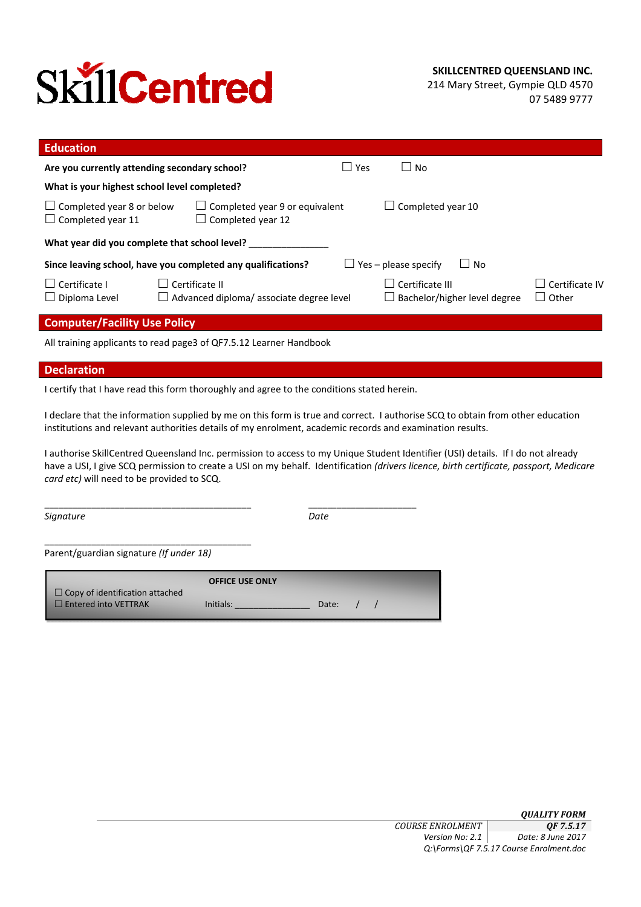# **SkillCentred**

214 Mary Street, Gympie QLD 4570 07 5489 9777

| <b>Education</b>                                                                                                                                                 |                                                                   |  |                             |                              |                                   |
|------------------------------------------------------------------------------------------------------------------------------------------------------------------|-------------------------------------------------------------------|--|-----------------------------|------------------------------|-----------------------------------|
| l Yes<br>Are you currently attending secondary school?<br>$\overline{\phantom{a}}$<br>No                                                                         |                                                                   |  |                             |                              |                                   |
| What is your highest school level completed?                                                                                                                     |                                                                   |  |                             |                              |                                   |
| $\Box$ Completed year 8 or below<br>$\Box$ Completed year 9 or equivalent<br>Completed year 10<br>$\Box$<br>$\Box$ Completed year 11<br>$\Box$ Completed year 12 |                                                                   |  |                             |                              |                                   |
| What year did you complete that school level?                                                                                                                    |                                                                   |  |                             |                              |                                   |
|                                                                                                                                                                  | Since leaving school, have you completed any qualifications?      |  | $\Box$ Yes – please specify | $\Box$ No                    |                                   |
| $\Box$ Certificate I<br>$\Box$ Diploma Level                                                                                                                     | Certificate II<br>$\Box$ Advanced diploma/ associate degree level |  | Certificate III             | Bachelor/higher level degree | Certificate IV<br>Other<br>$\Box$ |
| <b>Computer/Facility Use Policy</b>                                                                                                                              |                                                                   |  |                             |                              |                                   |

All training applicants to read page3 of QF7.5.12 Learner Handbook

#### **Declaration**

I certify that I have read this form thoroughly and agree to the conditions stated herein.

I declare that the information supplied by me on this form is true and correct. I authorise SCQ to obtain from other education institutions and relevant authorities details of my enrolment, academic records and examination results.

I authorise SkillCentred Queensland Inc. permission to access to my Unique Student Identifier (USI) details. If I do not already have a USI, I give SCQ permission to create a USI on my behalf. Identification *(drivers licence, birth certificate, passport, Medicare card etc)* will need to be provided to SCQ.

*Signature Date*

\_\_\_\_\_\_\_\_\_\_\_\_\_\_\_\_\_\_\_\_\_\_\_\_\_\_\_\_\_\_\_\_\_\_\_\_\_\_\_\_\_\_\_\_ \_\_\_\_\_\_\_\_\_\_\_\_\_\_\_\_\_\_\_\_\_\_\_

Parent/guardian signature *(If under 18)*

\_\_\_\_\_\_\_\_\_\_\_\_\_\_\_\_\_\_\_\_\_\_\_\_\_\_\_\_\_\_\_\_\_\_\_\_\_\_\_\_\_\_\_\_

|                                        | <b>OFFICE USE ONLY</b> |       |  |
|----------------------------------------|------------------------|-------|--|
| $\Box$ Copy of identification attached |                        |       |  |
| $\Box$ Entered into VETTRAK            | Initials:              | Date: |  |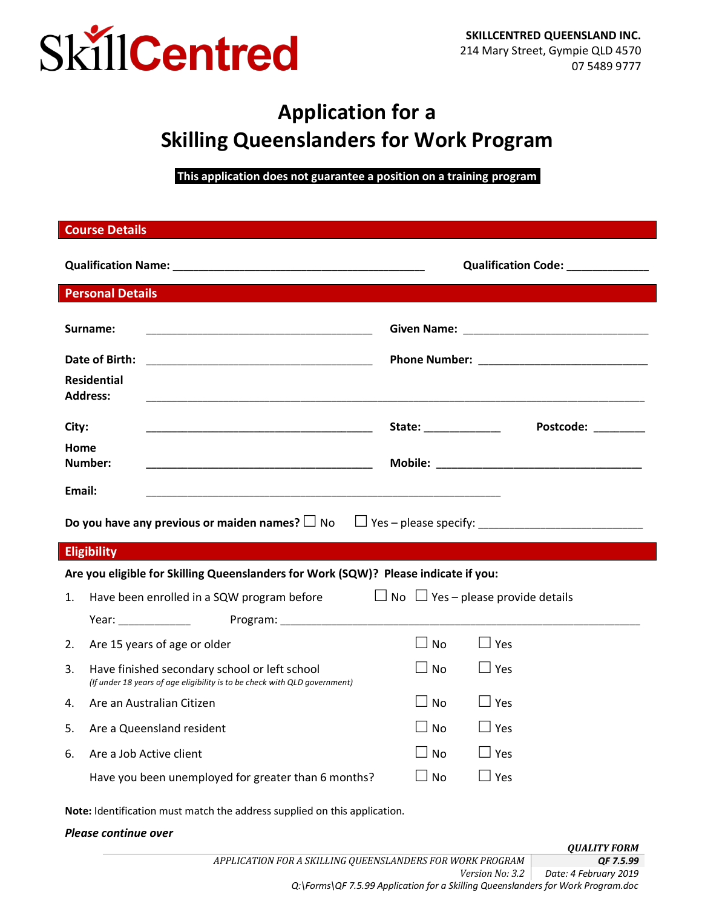

## **Application for a Skilling Queenslanders for Work Program**

**This application does not guarantee a position on a training program.** 

|                                                                           | <b>Course Details</b>                                                                                                      |                                               |                    |  |  |
|---------------------------------------------------------------------------|----------------------------------------------------------------------------------------------------------------------------|-----------------------------------------------|--------------------|--|--|
|                                                                           |                                                                                                                            | Qualification Code: _____________             |                    |  |  |
|                                                                           | <b>Personal Details</b>                                                                                                    |                                               |                    |  |  |
| Surname:                                                                  |                                                                                                                            |                                               |                    |  |  |
| Date of Birth:                                                            |                                                                                                                            |                                               |                    |  |  |
| <b>Residential</b><br><b>Address:</b>                                     | <u> 1980 - Jan James James James James James James James James James James James James James James James James J</u>       |                                               |                    |  |  |
| City:                                                                     |                                                                                                                            | State: ______________                         | Postcode: ________ |  |  |
| Home<br>Number:                                                           |                                                                                                                            |                                               |                    |  |  |
| Email:                                                                    |                                                                                                                            |                                               |                    |  |  |
|                                                                           |                                                                                                                            |                                               |                    |  |  |
| <b>Eligibility</b>                                                        |                                                                                                                            |                                               |                    |  |  |
|                                                                           | Are you eligible for Skilling Queenslanders for Work (SQW)? Please indicate if you:                                        |                                               |                    |  |  |
| 1.                                                                        | Have been enrolled in a SQW program before                                                                                 | $\Box$ No $\Box$ Yes – please provide details |                    |  |  |
|                                                                           |                                                                                                                            |                                               |                    |  |  |
| 2.                                                                        | Are 15 years of age or older                                                                                               | $\square$ No<br>$\Box$ Yes                    |                    |  |  |
| 3.                                                                        | Have finished secondary school or left school<br>(If under 18 years of age eligibility is to be check with QLD government) | $\Box$ Yes<br>$\Box$ No                       |                    |  |  |
| 4.                                                                        | Are an Australian Citizen                                                                                                  | $\Box$ Yes<br>$\Box$ No                       |                    |  |  |
| 5.                                                                        | Are a Queensland resident                                                                                                  | $\Box$ Yes<br>No                              |                    |  |  |
| 6.                                                                        | Are a Job Active client                                                                                                    | $\Box$ Yes<br><b>No</b>                       |                    |  |  |
|                                                                           | Have you been unemployed for greater than 6 months?                                                                        | $\Box$ Yes<br><b>No</b>                       |                    |  |  |
| Note: Identification must match the address supplied on this application. |                                                                                                                            |                                               |                    |  |  |
|                                                                           | Please continue over                                                                                                       |                                               |                    |  |  |